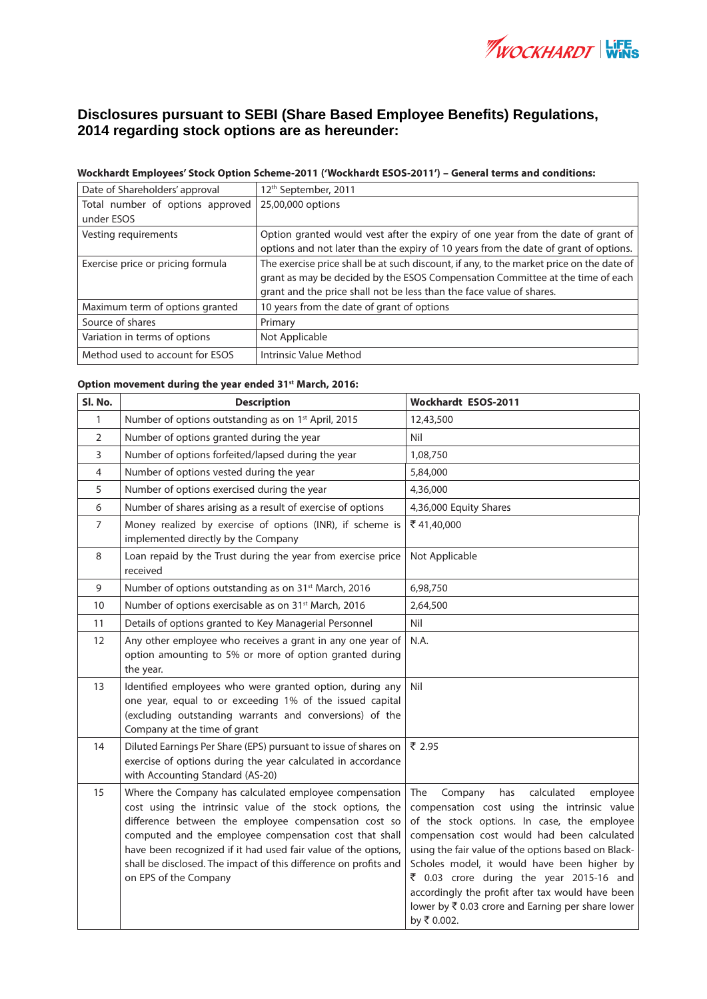

## **Disclosures pursuant to SEBI (Share Based Employee Benefits) Regulations, 2014 regarding stock options are as hereunder:**

## **Wockhardt Employees' Stock Option Scheme-2011 ('Wockhardt ESOS-2011') – General terms and conditions:**

| Date of Shareholders' approval    | 12 <sup>th</sup> September, 2011                                                         |
|-----------------------------------|------------------------------------------------------------------------------------------|
| Total number of options approved  | 25,00,000 options                                                                        |
| under ESOS                        |                                                                                          |
| Vesting requirements              | Option granted would vest after the expiry of one year from the date of grant of         |
|                                   | options and not later than the expiry of 10 years from the date of grant of options.     |
| Exercise price or pricing formula | The exercise price shall be at such discount, if any, to the market price on the date of |
|                                   | grant as may be decided by the ESOS Compensation Committee at the time of each           |
|                                   | grant and the price shall not be less than the face value of shares.                     |
| Maximum term of options granted   | 10 years from the date of grant of options                                               |
| Source of shares                  | Primary                                                                                  |
| Variation in terms of options     | Not Applicable                                                                           |
| Method used to account for ESOS   | Intrinsic Value Method                                                                   |

## **Option movement during the year ended 31st March, 2016:**

| SI. No.      | <b>Description</b>                                                                                                                                                                                                                                                                                                                                                                                  | Wockhardt ESOS-2011                                                                                                                                                                                                                                                                                                                                                                                                                                                    |
|--------------|-----------------------------------------------------------------------------------------------------------------------------------------------------------------------------------------------------------------------------------------------------------------------------------------------------------------------------------------------------------------------------------------------------|------------------------------------------------------------------------------------------------------------------------------------------------------------------------------------------------------------------------------------------------------------------------------------------------------------------------------------------------------------------------------------------------------------------------------------------------------------------------|
| $\mathbf{1}$ | Number of options outstanding as on 1 <sup>st</sup> April, 2015                                                                                                                                                                                                                                                                                                                                     | 12,43,500                                                                                                                                                                                                                                                                                                                                                                                                                                                              |
| 2            | Number of options granted during the year                                                                                                                                                                                                                                                                                                                                                           | Nil                                                                                                                                                                                                                                                                                                                                                                                                                                                                    |
| 3            | Number of options forfeited/lapsed during the year                                                                                                                                                                                                                                                                                                                                                  | 1,08,750                                                                                                                                                                                                                                                                                                                                                                                                                                                               |
| 4            | Number of options vested during the year                                                                                                                                                                                                                                                                                                                                                            | 5,84,000                                                                                                                                                                                                                                                                                                                                                                                                                                                               |
| 5            | Number of options exercised during the year                                                                                                                                                                                                                                                                                                                                                         | 4,36,000                                                                                                                                                                                                                                                                                                                                                                                                                                                               |
| 6            | Number of shares arising as a result of exercise of options                                                                                                                                                                                                                                                                                                                                         | 4,36,000 Equity Shares                                                                                                                                                                                                                                                                                                                                                                                                                                                 |
| 7            | Money realized by exercise of options (INR), if scheme is<br>implemented directly by the Company                                                                                                                                                                                                                                                                                                    | ₹41,40,000                                                                                                                                                                                                                                                                                                                                                                                                                                                             |
| 8            | Loan repaid by the Trust during the year from exercise price<br>received                                                                                                                                                                                                                                                                                                                            | Not Applicable                                                                                                                                                                                                                                                                                                                                                                                                                                                         |
| 9            | Number of options outstanding as on 31 <sup>st</sup> March, 2016                                                                                                                                                                                                                                                                                                                                    | 6,98,750                                                                                                                                                                                                                                                                                                                                                                                                                                                               |
| 10           | Number of options exercisable as on 31 <sup>st</sup> March, 2016                                                                                                                                                                                                                                                                                                                                    | 2,64,500                                                                                                                                                                                                                                                                                                                                                                                                                                                               |
| 11           | Details of options granted to Key Managerial Personnel                                                                                                                                                                                                                                                                                                                                              | Nil                                                                                                                                                                                                                                                                                                                                                                                                                                                                    |
| 12           | Any other employee who receives a grant in any one year of<br>option amounting to 5% or more of option granted during<br>the year.                                                                                                                                                                                                                                                                  | N.A.                                                                                                                                                                                                                                                                                                                                                                                                                                                                   |
| 13           | Identified employees who were granted option, during any<br>one year, equal to or exceeding 1% of the issued capital<br>(excluding outstanding warrants and conversions) of the<br>Company at the time of grant                                                                                                                                                                                     | Nil                                                                                                                                                                                                                                                                                                                                                                                                                                                                    |
| 14           | Diluted Earnings Per Share (EPS) pursuant to issue of shares on<br>exercise of options during the year calculated in accordance<br>with Accounting Standard (AS-20)                                                                                                                                                                                                                                 | ₹ 2.95                                                                                                                                                                                                                                                                                                                                                                                                                                                                 |
| 15           | Where the Company has calculated employee compensation<br>cost using the intrinsic value of the stock options, the<br>difference between the employee compensation cost so<br>computed and the employee compensation cost that shall<br>have been recognized if it had used fair value of the options,<br>shall be disclosed. The impact of this difference on profits and<br>on EPS of the Company | The<br>has<br>calculated<br>employee<br>Company<br>compensation cost using the intrinsic value<br>of the stock options. In case, the employee<br>compensation cost would had been calculated<br>using the fair value of the options based on Black-<br>Scholes model, it would have been higher by<br>₹ 0.03 crore during the year 2015-16 and<br>accordingly the profit after tax would have been<br>lower by ₹ 0.03 crore and Earning per share lower<br>by ₹ 0.002. |